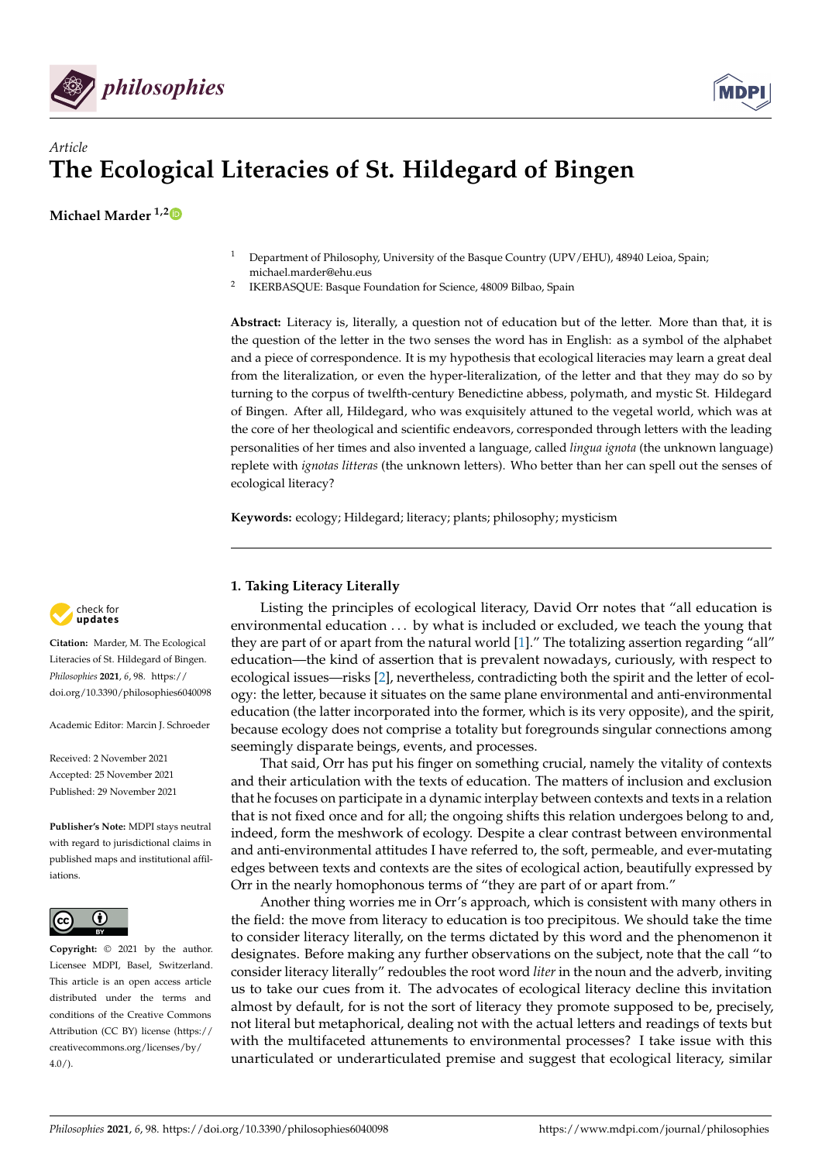



# *Article* **The Ecological Literacies of St. Hildegard of Bingen**

**Michael Marder 1,[2](https://orcid.org/0000-0002-2511-3402)**

- <sup>1</sup> Department of Philosophy, University of the Basque Country (UPV/EHU), 48940 Leioa, Spain; michael.marder@ehu.eus
- 2 IKERBASQUE: Basque Foundation for Science, 48009 Bilbao, Spain

**Abstract:** Literacy is, literally, a question not of education but of the letter. More than that, it is the question of the letter in the two senses the word has in English: as a symbol of the alphabet and a piece of correspondence. It is my hypothesis that ecological literacies may learn a great deal from the literalization, or even the hyper-literalization, of the letter and that they may do so by turning to the corpus of twelfth-century Benedictine abbess, polymath, and mystic St. Hildegard of Bingen. After all, Hildegard, who was exquisitely attuned to the vegetal world, which was at the core of her theological and scientific endeavors, corresponded through letters with the leading personalities of her times and also invented a language, called *lingua ignota* (the unknown language) replete with *ignotas litteras* (the unknown letters). Who better than her can spell out the senses of ecological literacy?

**Keywords:** ecology; Hildegard; literacy; plants; philosophy; mysticism

## **1. Taking Literacy Literally**

Listing the principles of ecological literacy, David Orr notes that "all education is environmental education . . . by what is included or excluded, we teach the young that they are part of or apart from the natural world [\[1\]](#page-6-0)." The totalizing assertion regarding "all" education—the kind of assertion that is prevalent nowadays, curiously, with respect to ecological issues—risks [\[2\]](#page-6-1), nevertheless, contradicting both the spirit and the letter of ecology: the letter, because it situates on the same plane environmental and anti-environmental education (the latter incorporated into the former, which is its very opposite), and the spirit, because ecology does not comprise a totality but foregrounds singular connections among seemingly disparate beings, events, and processes.

That said, Orr has put his finger on something crucial, namely the vitality of contexts and their articulation with the texts of education. The matters of inclusion and exclusion that he focuses on participate in a dynamic interplay between contexts and texts in a relation that is not fixed once and for all; the ongoing shifts this relation undergoes belong to and, indeed, form the meshwork of ecology. Despite a clear contrast between environmental and anti-environmental attitudes I have referred to, the soft, permeable, and ever-mutating edges between texts and contexts are the sites of ecological action, beautifully expressed by Orr in the nearly homophonous terms of "they are part of or apart from."

Another thing worries me in Orr's approach, which is consistent with many others in the field: the move from literacy to education is too precipitous. We should take the time to consider literacy literally, on the terms dictated by this word and the phenomenon it designates. Before making any further observations on the subject, note that the call "to consider literacy literally" redoubles the root word *liter* in the noun and the adverb, inviting us to take our cues from it. The advocates of ecological literacy decline this invitation almost by default, for is not the sort of literacy they promote supposed to be, precisely, not literal but metaphorical, dealing not with the actual letters and readings of texts but with the multifaceted attunements to environmental processes? I take issue with this unarticulated or underarticulated premise and suggest that ecological literacy, similar



**Citation:** Marder, M. The Ecological Literacies of St. Hildegard of Bingen. *Philosophies* **2021**, *6*, 98. [https://](https://doi.org/10.3390/philosophies6040098) [doi.org/10.3390/philosophies6040098](https://doi.org/10.3390/philosophies6040098)

Academic Editor: Marcin J. Schroeder

Received: 2 November 2021 Accepted: 25 November 2021 Published: 29 November 2021

**Publisher's Note:** MDPI stays neutral with regard to jurisdictional claims in published maps and institutional affiliations.



**Copyright:** © 2021 by the author. Licensee MDPI, Basel, Switzerland. This article is an open access article distributed under the terms and conditions of the Creative Commons Attribution (CC BY) license (https:/[/](https://creativecommons.org/licenses/by/4.0/) [creativecommons.org/licenses/by/](https://creativecommons.org/licenses/by/4.0/)  $4.0/$ ).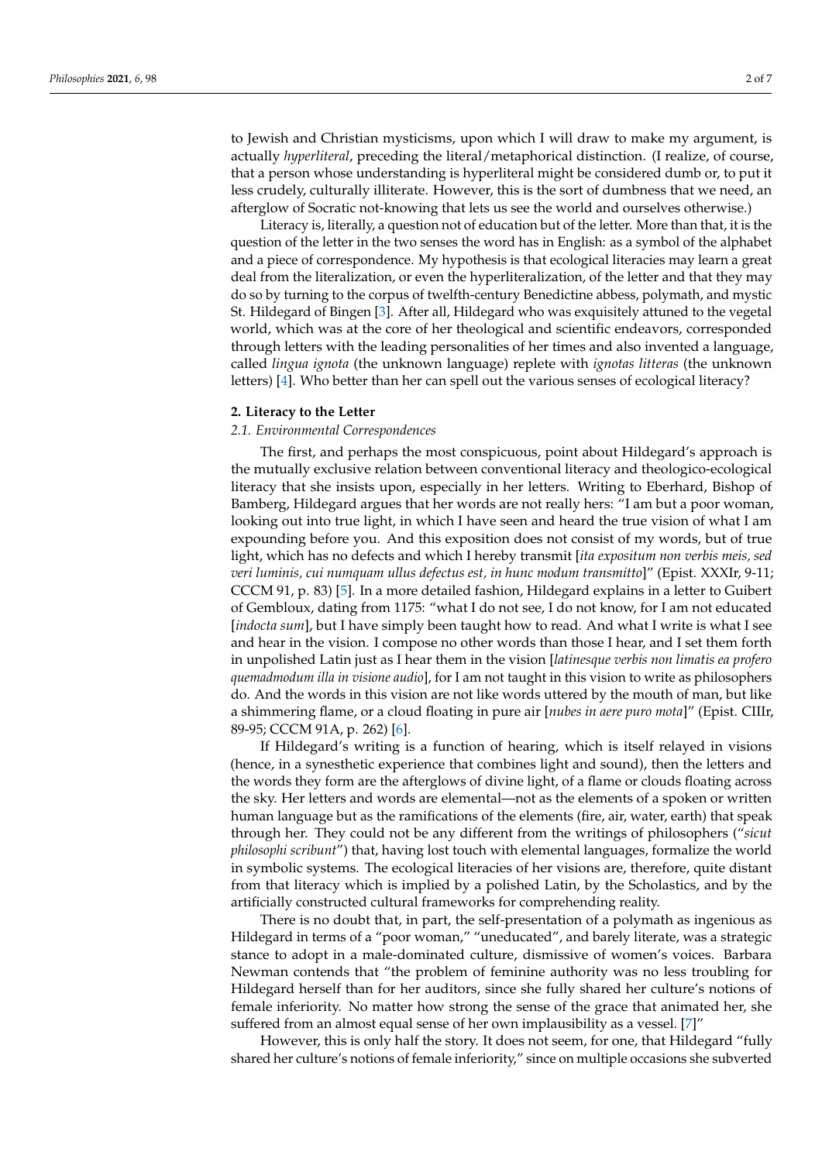to Jewish and Christian mysticisms, upon which I will draw to make my argument, is actually *hyperliteral*, preceding the literal/metaphorical distinction. (I realize, of course, that a person whose understanding is hyperliteral might be considered dumb or, to put it less crudely, culturally illiterate. However, this is the sort of dumbness that we need, an afterglow of Socratic not-knowing that lets us see the world and ourselves otherwise.)

Literacy is, literally, a question not of education but of the letter. More than that, it is the question of the letter in the two senses the word has in English: as a symbol of the alphabet and a piece of correspondence. My hypothesis is that ecological literacies may learn a great deal from the literalization, or even the hyperliteralization, of the letter and that they may do so by turning to the corpus of twelfth-century Benedictine abbess, polymath, and mystic St. Hildegard of Bingen [\[3\]](#page-6-2). After all, Hildegard who was exquisitely attuned to the vegetal world, which was at the core of her theological and scientific endeavors, corresponded through letters with the leading personalities of her times and also invented a language, called *lingua ignota* (the unknown language) replete with *ignotas litteras* (the unknown letters) [\[4\]](#page-6-3). Who better than her can spell out the various senses of ecological literacy?

#### **2. Literacy to the Letter**

### *2.1. Environmental Correspondences*

The first, and perhaps the most conspicuous, point about Hildegard's approach is the mutually exclusive relation between conventional literacy and theologico-ecological literacy that she insists upon, especially in her letters. Writing to Eberhard, Bishop of Bamberg, Hildegard argues that her words are not really hers: "I am but a poor woman, looking out into true light, in which I have seen and heard the true vision of what I am expounding before you. And this exposition does not consist of my words, but of true light, which has no defects and which I hereby transmit [*ita expositum non verbis meis, sed veri luminis, cui numquam ullus defectus est, in hunc modum transmitto*]" (Epist. XXXIr, 9-11; CCCM 91, p. 83) [\[5\]](#page-6-4). In a more detailed fashion, Hildegard explains in a letter to Guibert of Gembloux, dating from 1175: "what I do not see, I do not know, for I am not educated [*indocta sum*], but I have simply been taught how to read. And what I write is what I see and hear in the vision. I compose no other words than those I hear, and I set them forth in unpolished Latin just as I hear them in the vision [*latinesque verbis non limatis ea profero quemadmodum illa in visione audio*], for I am not taught in this vision to write as philosophers do. And the words in this vision are not like words uttered by the mouth of man, but like a shimmering flame, or a cloud floating in pure air [*nubes in aere puro mota*]" (Epist. CIIIr, 89-95; CCCM 91A, p. 262) [\[6\]](#page-6-5).

If Hildegard's writing is a function of hearing, which is itself relayed in visions (hence, in a synesthetic experience that combines light and sound), then the letters and the words they form are the afterglows of divine light, of a flame or clouds floating across the sky. Her letters and words are elemental—not as the elements of a spoken or written human language but as the ramifications of the elements (fire, air, water, earth) that speak through her. They could not be any different from the writings of philosophers ("*sicut philosophi scribunt*") that, having lost touch with elemental languages, formalize the world in symbolic systems. The ecological literacies of her visions are, therefore, quite distant from that literacy which is implied by a polished Latin, by the Scholastics, and by the artificially constructed cultural frameworks for comprehending reality.

There is no doubt that, in part, the self-presentation of a polymath as ingenious as Hildegard in terms of a "poor woman," "uneducated", and barely literate, was a strategic stance to adopt in a male-dominated culture, dismissive of women's voices. Barbara Newman contends that "the problem of feminine authority was no less troubling for Hildegard herself than for her auditors, since she fully shared her culture's notions of female inferiority. No matter how strong the sense of the grace that animated her, she suffered from an almost equal sense of her own implausibility as a vessel. [\[7\]](#page-6-6)"

However, this is only half the story. It does not seem, for one, that Hildegard "fully shared her culture's notions of female inferiority," since on multiple occasions she subverted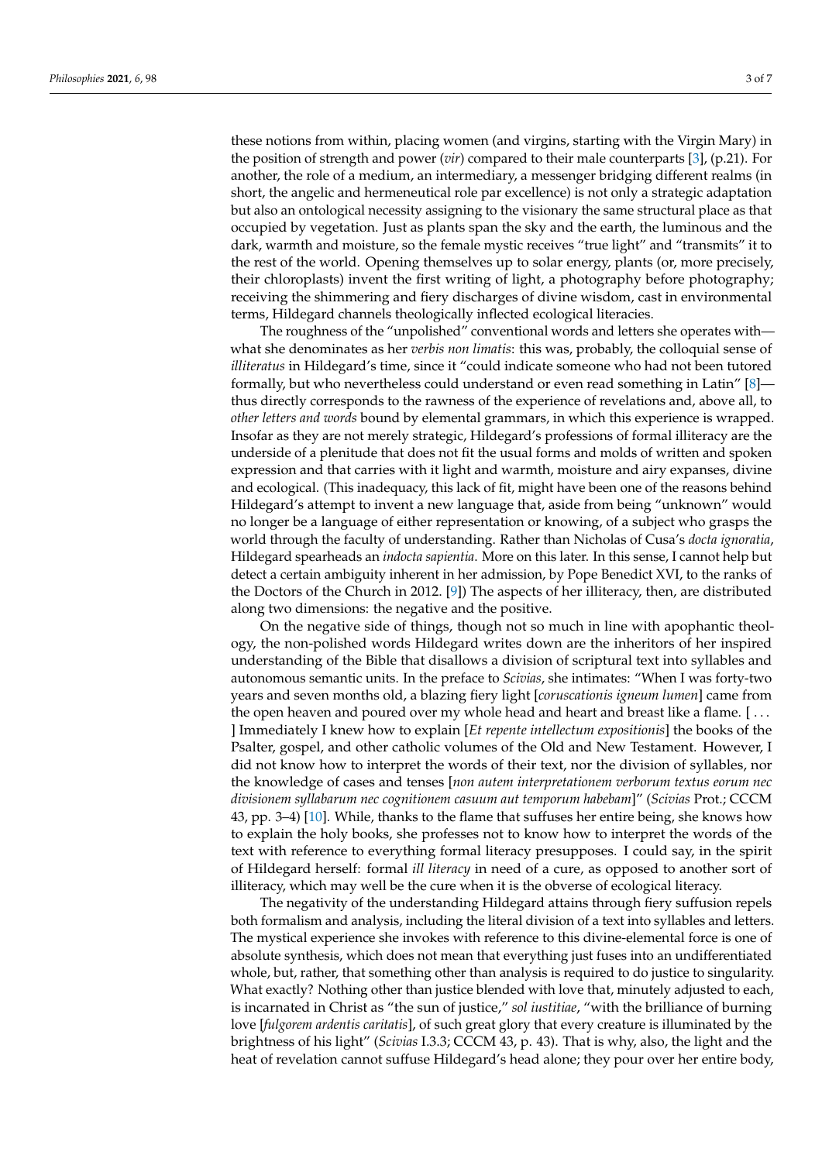these notions from within, placing women (and virgins, starting with the Virgin Mary) in the position of strength and power (*vir*) compared to their male counterparts [\[3\]](#page-6-2), (p.21). For another, the role of a medium, an intermediary, a messenger bridging different realms (in short, the angelic and hermeneutical role par excellence) is not only a strategic adaptation but also an ontological necessity assigning to the visionary the same structural place as that occupied by vegetation. Just as plants span the sky and the earth, the luminous and the dark, warmth and moisture, so the female mystic receives "true light" and "transmits" it to the rest of the world. Opening themselves up to solar energy, plants (or, more precisely, their chloroplasts) invent the first writing of light, a photography before photography; receiving the shimmering and fiery discharges of divine wisdom, cast in environmental terms, Hildegard channels theologically inflected ecological literacies.

The roughness of the "unpolished" conventional words and letters she operates with what she denominates as her *verbis non limatis*: this was, probably, the colloquial sense of *illiteratus* in Hildegard's time, since it "could indicate someone who had not been tutored formally, but who nevertheless could understand or even read something in Latin" [\[8\]](#page-6-7) thus directly corresponds to the rawness of the experience of revelations and, above all, to *other letters and words* bound by elemental grammars, in which this experience is wrapped. Insofar as they are not merely strategic, Hildegard's professions of formal illiteracy are the underside of a plenitude that does not fit the usual forms and molds of written and spoken expression and that carries with it light and warmth, moisture and airy expanses, divine and ecological. (This inadequacy, this lack of fit, might have been one of the reasons behind Hildegard's attempt to invent a new language that, aside from being "unknown" would no longer be a language of either representation or knowing, of a subject who grasps the world through the faculty of understanding. Rather than Nicholas of Cusa's *docta ignoratia*, Hildegard spearheads an *indocta sapientia*. More on this later. In this sense, I cannot help but detect a certain ambiguity inherent in her admission, by Pope Benedict XVI, to the ranks of the Doctors of the Church in 2012. [\[9\]](#page-6-8)) The aspects of her illiteracy, then, are distributed along two dimensions: the negative and the positive.

On the negative side of things, though not so much in line with apophantic theology, the non-polished words Hildegard writes down are the inheritors of her inspired understanding of the Bible that disallows a division of scriptural text into syllables and autonomous semantic units. In the preface to *Scivias*, she intimates: "When I was forty-two years and seven months old, a blazing fiery light [*coruscationis igneum lumen*] came from the open heaven and poured over my whole head and heart and breast like a flame. [ . . . ] Immediately I knew how to explain [*Et repente intellectum expositionis*] the books of the Psalter, gospel, and other catholic volumes of the Old and New Testament. However, I did not know how to interpret the words of their text, nor the division of syllables, nor the knowledge of cases and tenses [*non autem interpretationem verborum textus eorum nec divisionem syllabarum nec cognitionem casuum aut temporum habebam*]" (*Scivias* Prot.; CCCM 43, pp. 3–4) [\[10\]](#page-6-9). While, thanks to the flame that suffuses her entire being, she knows how to explain the holy books, she professes not to know how to interpret the words of the text with reference to everything formal literacy presupposes. I could say, in the spirit of Hildegard herself: formal *ill literacy* in need of a cure, as opposed to another sort of illiteracy, which may well be the cure when it is the obverse of ecological literacy.

The negativity of the understanding Hildegard attains through fiery suffusion repels both formalism and analysis, including the literal division of a text into syllables and letters. The mystical experience she invokes with reference to this divine-elemental force is one of absolute synthesis, which does not mean that everything just fuses into an undifferentiated whole, but, rather, that something other than analysis is required to do justice to singularity. What exactly? Nothing other than justice blended with love that, minutely adjusted to each, is incarnated in Christ as "the sun of justice," *sol iustitiae*, "with the brilliance of burning love [*fulgorem ardentis caritatis*], of such great glory that every creature is illuminated by the brightness of his light" (*Scivias* I.3.3; CCCM 43, p. 43). That is why, also, the light and the heat of revelation cannot suffuse Hildegard's head alone; they pour over her entire body,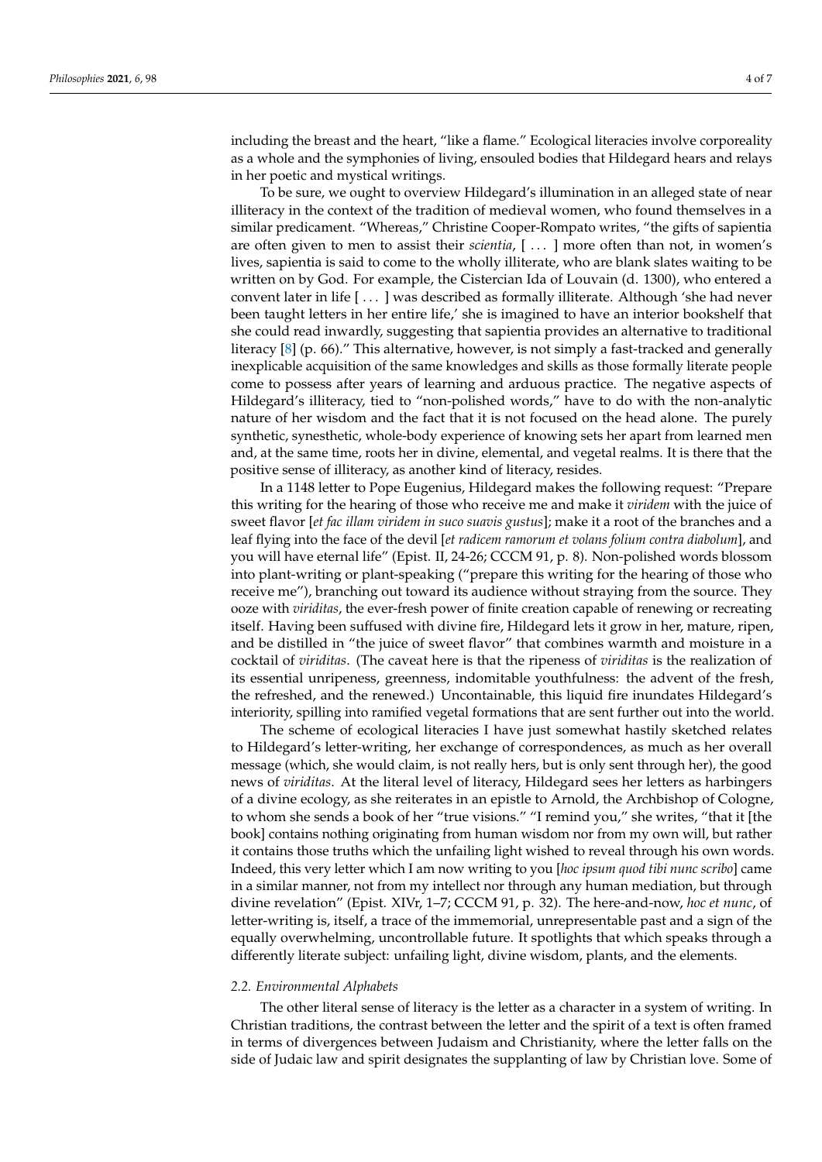including the breast and the heart, "like a flame." Ecological literacies involve corporeality as a whole and the symphonies of living, ensouled bodies that Hildegard hears and relays in her poetic and mystical writings.

To be sure, we ought to overview Hildegard's illumination in an alleged state of near illiteracy in the context of the tradition of medieval women, who found themselves in a similar predicament. "Whereas," Christine Cooper-Rompato writes, "the gifts of sapientia are often given to men to assist their *scientia*, [...] more often than not, in women's lives, sapientia is said to come to the wholly illiterate, who are blank slates waiting to be written on by God. For example, the Cistercian Ida of Louvain (d. 1300), who entered a convent later in life [ . . . ] was described as formally illiterate. Although 'she had never been taught letters in her entire life,' she is imagined to have an interior bookshelf that she could read inwardly, suggesting that sapientia provides an alternative to traditional literacy [\[8\]](#page-6-7) (p. 66)." This alternative, however, is not simply a fast-tracked and generally inexplicable acquisition of the same knowledges and skills as those formally literate people come to possess after years of learning and arduous practice. The negative aspects of Hildegard's illiteracy, tied to "non-polished words," have to do with the non-analytic nature of her wisdom and the fact that it is not focused on the head alone. The purely synthetic, synesthetic, whole-body experience of knowing sets her apart from learned men and, at the same time, roots her in divine, elemental, and vegetal realms. It is there that the positive sense of illiteracy, as another kind of literacy, resides.

In a 1148 letter to Pope Eugenius, Hildegard makes the following request: "Prepare this writing for the hearing of those who receive me and make it *viridem* with the juice of sweet flavor [*et fac illam viridem in suco suavis gustus*]; make it a root of the branches and a leaf flying into the face of the devil [*et radicem ramorum et volans folium contra diabolum*], and you will have eternal life" (Epist. II, 24-26; CCCM 91, p. 8). Non-polished words blossom into plant-writing or plant-speaking ("prepare this writing for the hearing of those who receive me"), branching out toward its audience without straying from the source. They ooze with *viriditas*, the ever-fresh power of finite creation capable of renewing or recreating itself. Having been suffused with divine fire, Hildegard lets it grow in her, mature, ripen, and be distilled in "the juice of sweet flavor" that combines warmth and moisture in a cocktail of *viriditas*. (The caveat here is that the ripeness of *viriditas* is the realization of its essential unripeness, greenness, indomitable youthfulness: the advent of the fresh, the refreshed, and the renewed.) Uncontainable, this liquid fire inundates Hildegard's interiority, spilling into ramified vegetal formations that are sent further out into the world.

The scheme of ecological literacies I have just somewhat hastily sketched relates to Hildegard's letter-writing, her exchange of correspondences, as much as her overall message (which, she would claim, is not really hers, but is only sent through her), the good news of *viriditas*. At the literal level of literacy, Hildegard sees her letters as harbingers of a divine ecology, as she reiterates in an epistle to Arnold, the Archbishop of Cologne, to whom she sends a book of her "true visions." "I remind you," she writes, "that it [the book] contains nothing originating from human wisdom nor from my own will, but rather it contains those truths which the unfailing light wished to reveal through his own words. Indeed, this very letter which I am now writing to you [*hoc ipsum quod tibi nunc scribo*] came in a similar manner, not from my intellect nor through any human mediation, but through divine revelation" (Epist. XIVr, 1–7; CCCM 91, p. 32). The here-and-now, *hoc et nunc*, of letter-writing is, itself, a trace of the immemorial, unrepresentable past and a sign of the equally overwhelming, uncontrollable future. It spotlights that which speaks through a differently literate subject: unfailing light, divine wisdom, plants, and the elements.

#### *2.2. Environmental Alphabets*

The other literal sense of literacy is the letter as a character in a system of writing. In Christian traditions, the contrast between the letter and the spirit of a text is often framed in terms of divergences between Judaism and Christianity, where the letter falls on the side of Judaic law and spirit designates the supplanting of law by Christian love. Some of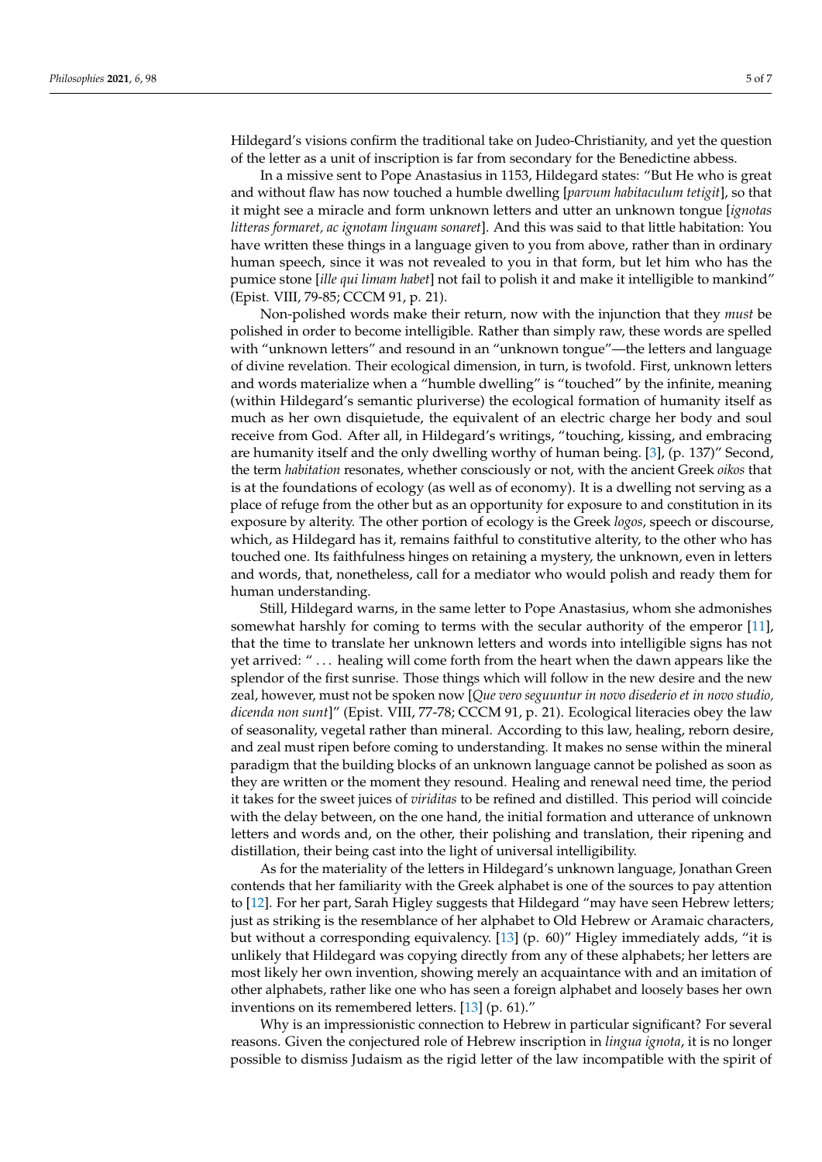Hildegard's visions confirm the traditional take on Judeo-Christianity, and yet the question of the letter as a unit of inscription is far from secondary for the Benedictine abbess.

In a missive sent to Pope Anastasius in 1153, Hildegard states: "But He who is great and without flaw has now touched a humble dwelling [*parvum habitaculum tetigit*], so that it might see a miracle and form unknown letters and utter an unknown tongue [*ignotas litteras formaret, ac ignotam linguam sonaret*]. And this was said to that little habitation: You have written these things in a language given to you from above, rather than in ordinary human speech, since it was not revealed to you in that form, but let him who has the pumice stone [*ille qui limam habet*] not fail to polish it and make it intelligible to mankind" (Epist. VIII, 79-85; CCCM 91, p. 21).

Non-polished words make their return, now with the injunction that they *must* be polished in order to become intelligible. Rather than simply raw, these words are spelled with "unknown letters" and resound in an "unknown tongue"—the letters and language of divine revelation. Their ecological dimension, in turn, is twofold. First, unknown letters and words materialize when a "humble dwelling" is "touched" by the infinite, meaning (within Hildegard's semantic pluriverse) the ecological formation of humanity itself as much as her own disquietude, the equivalent of an electric charge her body and soul receive from God. After all, in Hildegard's writings, "touching, kissing, and embracing are humanity itself and the only dwelling worthy of human being. [\[3\]](#page-6-2), (p. 137)" Second, the term *habitation* resonates, whether consciously or not, with the ancient Greek *oikos* that is at the foundations of ecology (as well as of economy). It is a dwelling not serving as a place of refuge from the other but as an opportunity for exposure to and constitution in its exposure by alterity. The other portion of ecology is the Greek *logos*, speech or discourse, which, as Hildegard has it, remains faithful to constitutive alterity, to the other who has touched one. Its faithfulness hinges on retaining a mystery, the unknown, even in letters and words, that, nonetheless, call for a mediator who would polish and ready them for human understanding.

Still, Hildegard warns, in the same letter to Pope Anastasius, whom she admonishes somewhat harshly for coming to terms with the secular authority of the emperor [\[11\]](#page-6-10), that the time to translate her unknown letters and words into intelligible signs has not yet arrived: " . . . healing will come forth from the heart when the dawn appears like the splendor of the first sunrise. Those things which will follow in the new desire and the new zeal, however, must not be spoken now [*Que vero seguuntur in novo disederio et in novo studio, dicenda non sunt*]" (Epist. VIII, 77-78; CCCM 91, p. 21). Ecological literacies obey the law of seasonality, vegetal rather than mineral. According to this law, healing, reborn desire, and zeal must ripen before coming to understanding. It makes no sense within the mineral paradigm that the building blocks of an unknown language cannot be polished as soon as they are written or the moment they resound. Healing and renewal need time, the period it takes for the sweet juices of *viriditas* to be refined and distilled. This period will coincide with the delay between, on the one hand, the initial formation and utterance of unknown letters and words and, on the other, their polishing and translation, their ripening and distillation, their being cast into the light of universal intelligibility.

As for the materiality of the letters in Hildegard's unknown language, Jonathan Green contends that her familiarity with the Greek alphabet is one of the sources to pay attention to [\[12\]](#page-6-11). For her part, Sarah Higley suggests that Hildegard "may have seen Hebrew letters; just as striking is the resemblance of her alphabet to Old Hebrew or Aramaic characters, but without a corresponding equivalency. [\[13\]](#page-6-12) (p. 60)" Higley immediately adds, "it is unlikely that Hildegard was copying directly from any of these alphabets; her letters are most likely her own invention, showing merely an acquaintance with and an imitation of other alphabets, rather like one who has seen a foreign alphabet and loosely bases her own inventions on its remembered letters. [\[13\]](#page-6-12) (p. 61)."

Why is an impressionistic connection to Hebrew in particular significant? For several reasons. Given the conjectured role of Hebrew inscription in *lingua ignota*, it is no longer possible to dismiss Judaism as the rigid letter of the law incompatible with the spirit of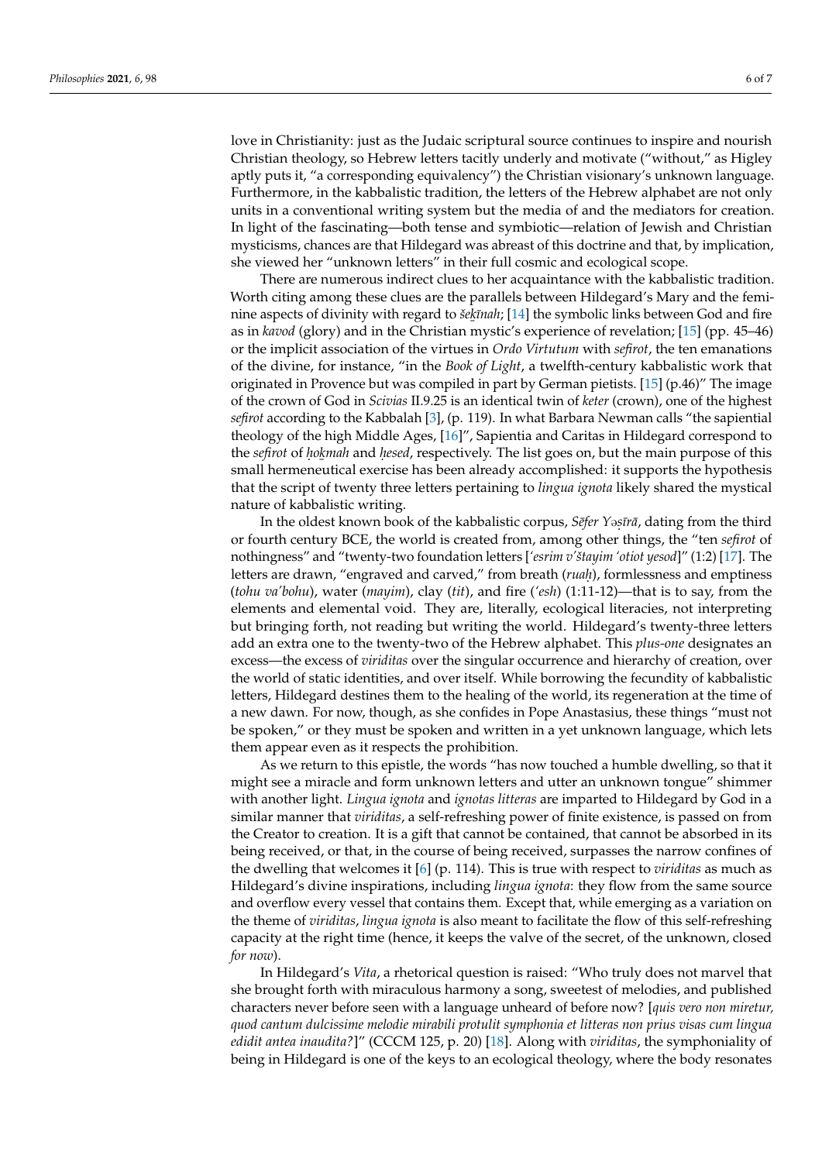love in Christianity: just as the Judaic scriptural source continues to inspire and nourish Christian theology, so Hebrew letters tacitly underly and motivate ("without," as Higley aptly puts it, "a corresponding equivalency") the Christian visionary's unknown language. Furthermore, in the kabbalistic tradition, the letters of the Hebrew alphabet are not only units in a conventional writing system but the media of and the mediators for creation. In light of the fascinating—both tense and symbiotic—relation of Jewish and Christian mysticisms, chances are that Hildegard was abreast of this doctrine and that, by implication, she viewed her "unknown letters" in their full cosmic and ecological scope.

There are numerous indirect clues to her acquaintance with the kabbalistic tradition. Worth citing among these clues are the parallels between Hildegard's Mary and the feminine aspects of divinity with regard to š*ekīnah;* [\[14\]](#page-6-13) the symbolic links between God and fire as in *kavod* (glory) and in the Christian mystic's experience of revelation; [\[15\]](#page-6-14) (pp. 45–46) or the implicit association of the virtues in *Ordo Virtutum* with *sefirot*, the ten emanations of the divine, for instance, "in the *Book of Light*, a twelfth-century kabbalistic work that originated in Provence but was compiled in part by German pietists. [\[15\]](#page-6-14) (p.46)" The image of the crown of God in *Scivias* II.9.25 is an identical twin of *keter* (crown), one of the highest *sefirot* according to the Kabbalah [\[3\]](#page-6-2), (p. 119). In what Barbara Newman calls "the sapiential theology of the high Middle Ages, [\[16\]](#page-6-15)", Sapientia and Caritas in Hildegard correspond to the *sefirot* of *hokmah* and *hesed*, respectively. The list goes on, but the main purpose of this **The experiment of the process** has been already accomplished: it supports the hypothesis small hermeneutical exercise has been already accomplished: it supports the hypothesis that the script of twenty three letters pertaining to *lingua ignota* likely shared the mystical nature of kabbalistic writing.

In the oldest known book of the kabbalistic corpus*, Sēfer Yəṣīrā,* dating from the third or fourth century BCE, the world is created from, among other things, the "ten *sefirot* of nothingness" and "twenty-two foundation letters [*'esrim v'štayim 'otiot yesod*]" (1:2) [\[17\]](#page-6-16). The letters are drawn, "engraved and carved," from breath (*ruaḥ*), formlessness and emptiness (*tohu va'bohu*), water (*mayim*), clay (*tit*), and fire (*'esh*) (1:11-12)—that is to say, from the elements and elemental void. They are, literally, ecological literacies, not interpreting but bringing forth, not reading but writing the world. Hildegard's twenty-three letters add an extra one to the twenty-two of the Hebrew alphabet. This *plus-one* designates an excess—the excess of *viriditas* over the singular occurrence and hierarchy of creation, over the world of static identities, and over itself. While borrowing the fecundity of kabbalistic letters, Hildegard destines them to the healing of the world, its regeneration at the time of a new dawn. For now, though, as she confides in Pope Anastasius, these things "must not be spoken," or they must be spoken and written in a yet unknown language, which lets them appear even as it respects the prohibition.

As we return to this epistle, the words "has now touched a humble dwelling, so that it might see a miracle and form unknown letters and utter an unknown tongue" shimmer with another light. *Lingua ignota* and *ignotas litteras* are imparted to Hildegard by God in a similar manner that *viriditas*, a self-refreshing power of finite existence, is passed on from the Creator to creation. It is a gift that cannot be contained, that cannot be absorbed in its being received, or that, in the course of being received, surpasses the narrow confines of the dwelling that welcomes it [\[6\]](#page-6-5) (p. 114). This is true with respect to *viriditas* as much as Hildegard's divine inspirations, including *lingua ignota*: they flow from the same source and overflow every vessel that contains them. Except that, while emerging as a variation on the theme of *viriditas*, *lingua ignota* is also meant to facilitate the flow of this self-refreshing capacity at the right time (hence, it keeps the valve of the secret, of the unknown, closed *for now*).

In Hildegard's *Vita*, a rhetorical question is raised: "Who truly does not marvel that she brought forth with miraculous harmony a song, sweetest of melodies, and published characters never before seen with a language unheard of before now? [*quis vero non miretur, quod cantum dulcissime melodie mirabili protulit symphonia et litteras non prius visas cum lingua edidit antea inaudita?*]" (CCCM 125, p. 20) [\[18\]](#page-6-17). Along with *viriditas*, the symphoniality of being in Hildegard is one of the keys to an ecological theology, where the body resonates